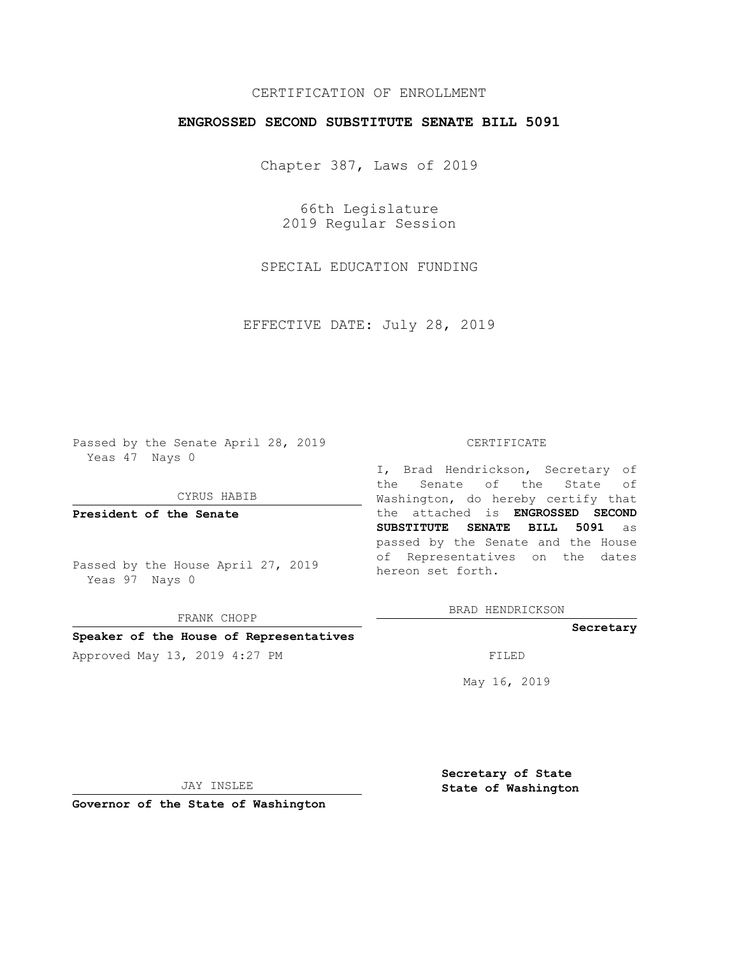## CERTIFICATION OF ENROLLMENT

## **ENGROSSED SECOND SUBSTITUTE SENATE BILL 5091**

Chapter 387, Laws of 2019

66th Legislature 2019 Regular Session

SPECIAL EDUCATION FUNDING

EFFECTIVE DATE: July 28, 2019

Passed by the Senate April 28, 2019 Yeas 47 Nays 0

CYRUS HABIB

**President of the Senate**

Passed by the House April 27, 2019 Yeas 97 Nays 0

FRANK CHOPP

#### **Speaker of the House of Representatives**

Approved May 13, 2019 4:27 PM

#### CERTIFICATE

I, Brad Hendrickson, Secretary of the Senate of the State of Washington, do hereby certify that the attached is **ENGROSSED SECOND SUBSTITUTE SENATE BILL 5091** as passed by the Senate and the House of Representatives on the dates hereon set forth.

BRAD HENDRICKSON

#### **Secretary**

May 16, 2019

JAY INSLEE

**Governor of the State of Washington**

**Secretary of State State of Washington**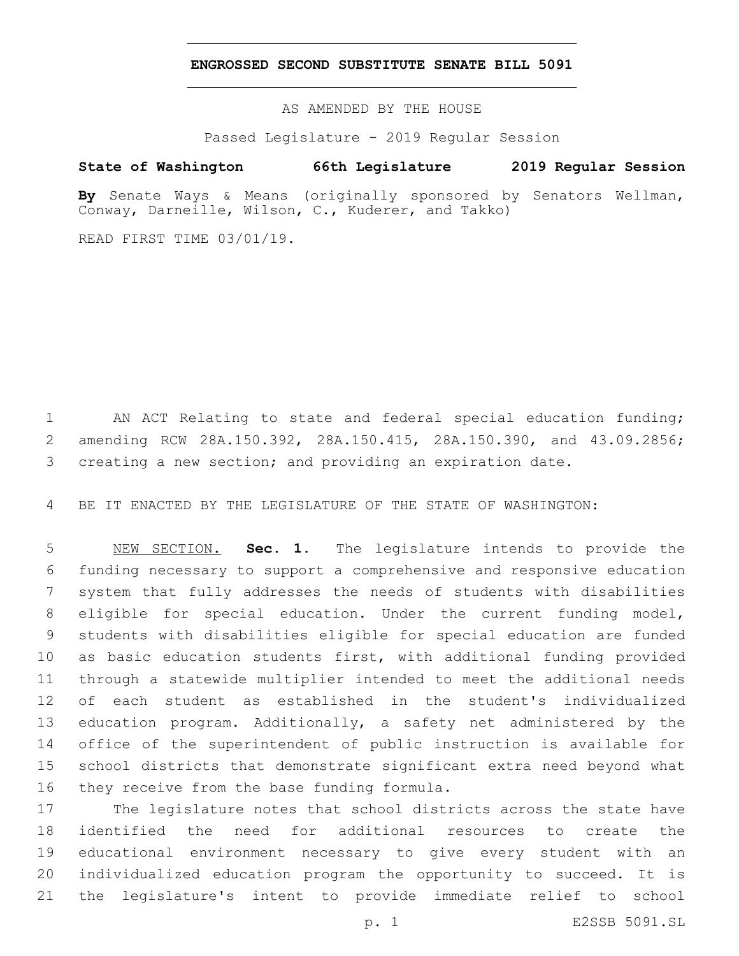### **ENGROSSED SECOND SUBSTITUTE SENATE BILL 5091**

AS AMENDED BY THE HOUSE

Passed Legislature - 2019 Regular Session

# **State of Washington 66th Legislature 2019 Regular Session**

**By** Senate Ways & Means (originally sponsored by Senators Wellman, Conway, Darneille, Wilson, C., Kuderer, and Takko)

READ FIRST TIME 03/01/19.

 AN ACT Relating to state and federal special education funding; amending RCW 28A.150.392, 28A.150.415, 28A.150.390, and 43.09.2856; creating a new section; and providing an expiration date.

BE IT ENACTED BY THE LEGISLATURE OF THE STATE OF WASHINGTON:

 NEW SECTION. **Sec. 1.** The legislature intends to provide the funding necessary to support a comprehensive and responsive education system that fully addresses the needs of students with disabilities eligible for special education. Under the current funding model, students with disabilities eligible for special education are funded as basic education students first, with additional funding provided through a statewide multiplier intended to meet the additional needs of each student as established in the student's individualized education program. Additionally, a safety net administered by the office of the superintendent of public instruction is available for school districts that demonstrate significant extra need beyond what they receive from the base funding formula.

 The legislature notes that school districts across the state have identified the need for additional resources to create the educational environment necessary to give every student with an individualized education program the opportunity to succeed. It is the legislature's intent to provide immediate relief to school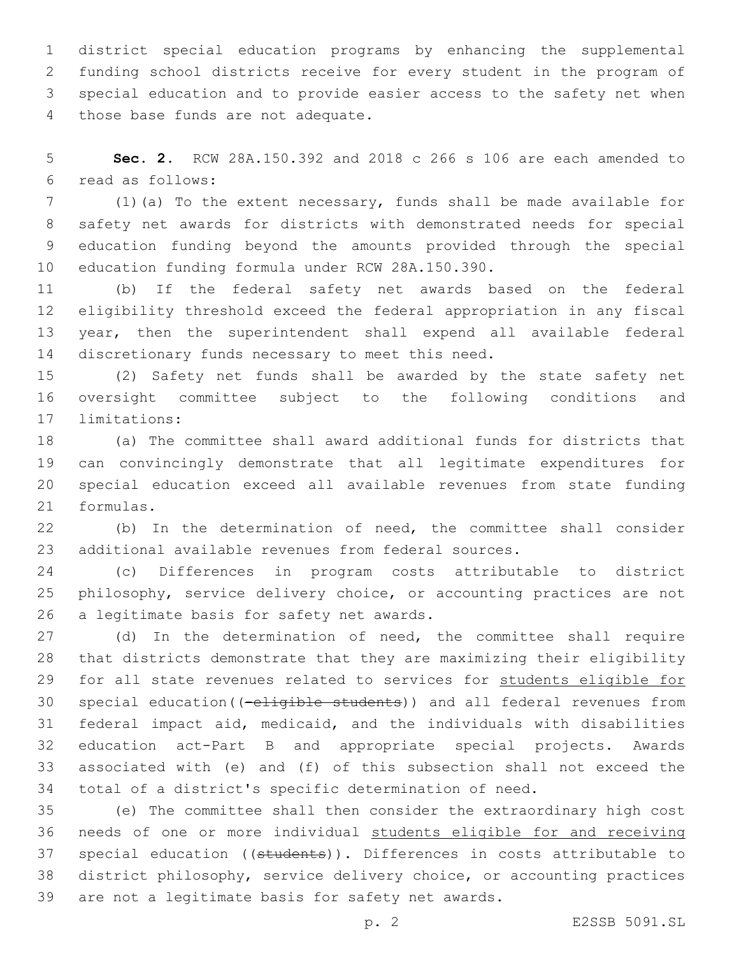district special education programs by enhancing the supplemental funding school districts receive for every student in the program of special education and to provide easier access to the safety net when 4 those base funds are not adequate.

 **Sec. 2.** RCW 28A.150.392 and 2018 c 266 s 106 are each amended to read as follows:6

 (1)(a) To the extent necessary, funds shall be made available for safety net awards for districts with demonstrated needs for special education funding beyond the amounts provided through the special 10 education funding formula under RCW 28A.150.390.

 (b) If the federal safety net awards based on the federal eligibility threshold exceed the federal appropriation in any fiscal year, then the superintendent shall expend all available federal 14 discretionary funds necessary to meet this need.

 (2) Safety net funds shall be awarded by the state safety net oversight committee subject to the following conditions and 17 limitations:

 (a) The committee shall award additional funds for districts that can convincingly demonstrate that all legitimate expenditures for special education exceed all available revenues from state funding 21 formulas.

 (b) In the determination of need, the committee shall consider additional available revenues from federal sources.

 (c) Differences in program costs attributable to district philosophy, service delivery choice, or accounting practices are not 26 a legitimate basis for safety net awards.

 (d) In the determination of need, the committee shall require that districts demonstrate that they are maximizing their eligibility for all state revenues related to services for students eligible for 30 special education((-eligible students)) and all federal revenues from federal impact aid, medicaid, and the individuals with disabilities education act-Part B and appropriate special projects. Awards associated with (e) and (f) of this subsection shall not exceed the total of a district's specific determination of need.

 (e) The committee shall then consider the extraordinary high cost needs of one or more individual students eligible for and receiving 37 special education ((students)). Differences in costs attributable to district philosophy, service delivery choice, or accounting practices 39 are not a legitimate basis for safety net awards.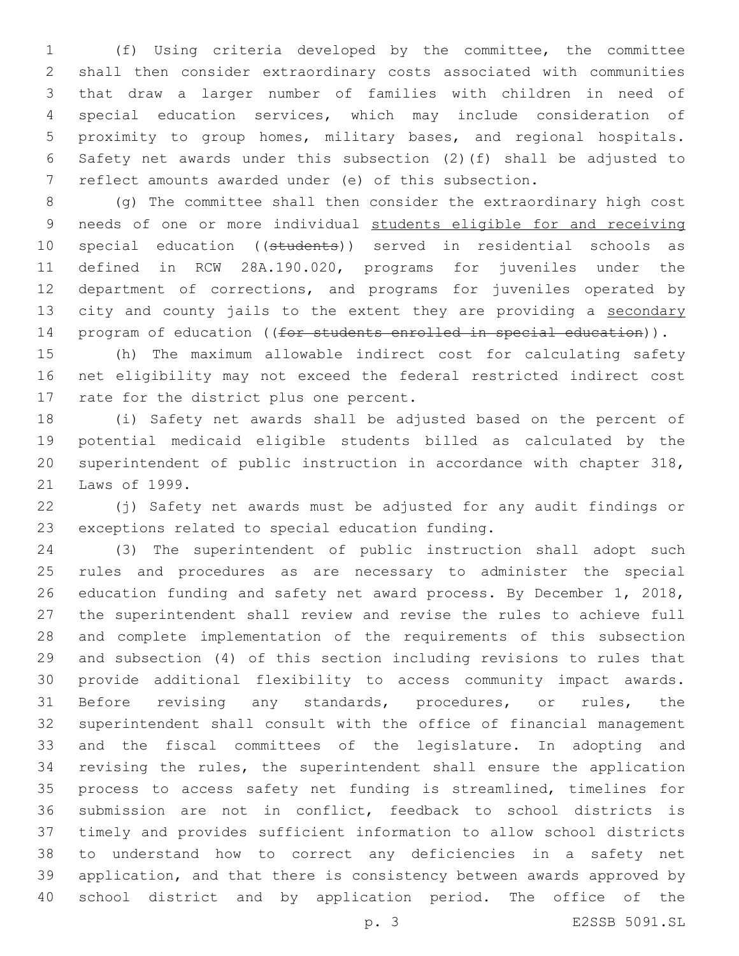(f) Using criteria developed by the committee, the committee shall then consider extraordinary costs associated with communities that draw a larger number of families with children in need of special education services, which may include consideration of proximity to group homes, military bases, and regional hospitals. Safety net awards under this subsection (2)(f) shall be adjusted to reflect amounts awarded under (e) of this subsection.

 (g) The committee shall then consider the extraordinary high cost needs of one or more individual students eligible for and receiving 10 special education ((students)) served in residential schools as defined in RCW 28A.190.020, programs for juveniles under the department of corrections, and programs for juveniles operated by 13 city and county jails to the extent they are providing a secondary 14 program of education ((for students enrolled in special education)).

 (h) The maximum allowable indirect cost for calculating safety net eligibility may not exceed the federal restricted indirect cost 17 rate for the district plus one percent.

 (i) Safety net awards shall be adjusted based on the percent of potential medicaid eligible students billed as calculated by the superintendent of public instruction in accordance with chapter 318, 21 Laws of 1999.

 (j) Safety net awards must be adjusted for any audit findings or 23 exceptions related to special education funding.

 (3) The superintendent of public instruction shall adopt such rules and procedures as are necessary to administer the special education funding and safety net award process. By December 1, 2018, the superintendent shall review and revise the rules to achieve full and complete implementation of the requirements of this subsection and subsection (4) of this section including revisions to rules that provide additional flexibility to access community impact awards. Before revising any standards, procedures, or rules, the superintendent shall consult with the office of financial management and the fiscal committees of the legislature. In adopting and revising the rules, the superintendent shall ensure the application process to access safety net funding is streamlined, timelines for submission are not in conflict, feedback to school districts is timely and provides sufficient information to allow school districts to understand how to correct any deficiencies in a safety net application, and that there is consistency between awards approved by school district and by application period. The office of the

p. 3 E2SSB 5091.SL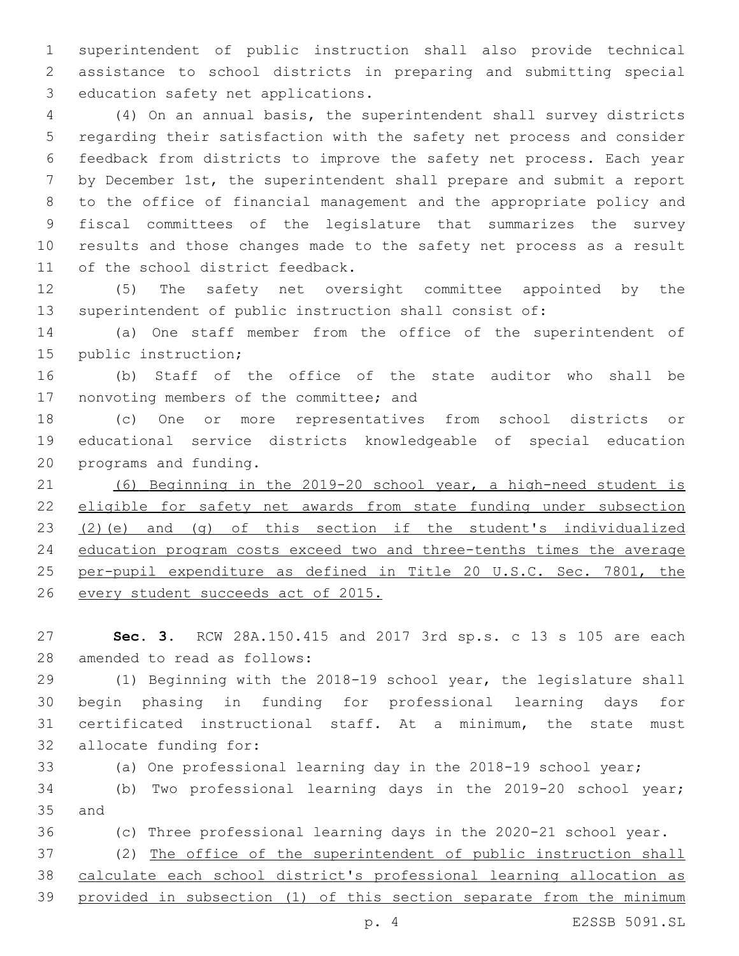superintendent of public instruction shall also provide technical assistance to school districts in preparing and submitting special 3 education safety net applications.

 (4) On an annual basis, the superintendent shall survey districts regarding their satisfaction with the safety net process and consider feedback from districts to improve the safety net process. Each year by December 1st, the superintendent shall prepare and submit a report to the office of financial management and the appropriate policy and fiscal committees of the legislature that summarizes the survey results and those changes made to the safety net process as a result 11 of the school district feedback.

 (5) The safety net oversight committee appointed by the superintendent of public instruction shall consist of:

 (a) One staff member from the office of the superintendent of 15 public instruction;

 (b) Staff of the office of the state auditor who shall be 17 nonvoting members of the committee; and

 (c) One or more representatives from school districts or educational service districts knowledgeable of special education 20 programs and funding.

 (6) Beginning in the 2019-20 school year, a high-need student is eligible for safety net awards from state funding under subsection (2)(e) and (g) of this section if the student's individualized education program costs exceed two and three-tenths times the average 25 per-pupil expenditure as defined in Title 20 U.S.C. Sec. 7801, the every student succeeds act of 2015.

 **Sec. 3.** RCW 28A.150.415 and 2017 3rd sp.s. c 13 s 105 are each 28 amended to read as follows:

 (1) Beginning with the 2018-19 school year, the legislature shall begin phasing in funding for professional learning days for certificated instructional staff. At a minimum, the state must 32 allocate funding for:

(a) One professional learning day in the 2018-19 school year;

 (b) Two professional learning days in the 2019-20 school year; 35 and

(c) Three professional learning days in the 2020-21 school year.

 (2) The office of the superintendent of public instruction shall calculate each school district's professional learning allocation as provided in subsection (1) of this section separate from the minimum

p. 4 E2SSB 5091.SL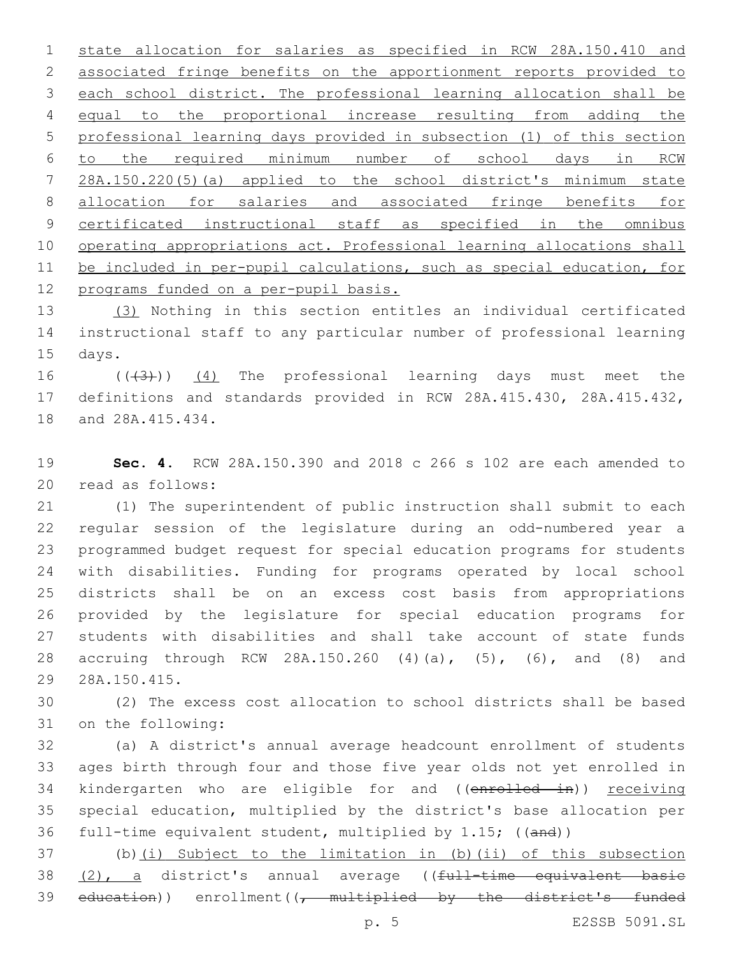state allocation for salaries as specified in RCW 28A.150.410 and associated fringe benefits on the apportionment reports provided to each school district. The professional learning allocation shall be equal to the proportional increase resulting from adding the professional learning days provided in subsection (1) of this section to the required minimum number of school days in RCW 28A.150.220(5)(a) applied to the school district's minimum state allocation for salaries and associated fringe benefits for 9 certificated instructional staff as specified in the omnibus operating appropriations act. Professional learning allocations shall be included in per-pupil calculations, such as special education, for 12 programs funded on a per-pupil basis.

 (3) Nothing in this section entitles an individual certificated instructional staff to any particular number of professional learning 15 days.

16  $((\langle 3 \rangle))$   $(4)$  The professional learning days must meet the definitions and standards provided in RCW 28A.415.430, 28A.415.432, 18 and 28A.415.434.

 **Sec. 4.** RCW 28A.150.390 and 2018 c 266 s 102 are each amended to 20 read as follows:

 (1) The superintendent of public instruction shall submit to each regular session of the legislature during an odd-numbered year a programmed budget request for special education programs for students with disabilities. Funding for programs operated by local school districts shall be on an excess cost basis from appropriations provided by the legislature for special education programs for students with disabilities and shall take account of state funds accruing through RCW 28A.150.260 (4)(a), (5), (6), and (8) and 28A.150.415.29

 (2) The excess cost allocation to school districts shall be based 31 on the following:

 (a) A district's annual average headcount enrollment of students ages birth through four and those five year olds not yet enrolled in 34 kindergarten who are eligible for and ((enrolled in)) receiving special education, multiplied by the district's base allocation per full-time equivalent student, multiplied by 1.15; ((and))

 (b)(i) Subject to the limitation in (b)(ii) of this subsection 38 (2), a district's annual average ((full-time equivalent basic 39 education)) enrollment( $\sqrt{t}$  multiplied by the district's funded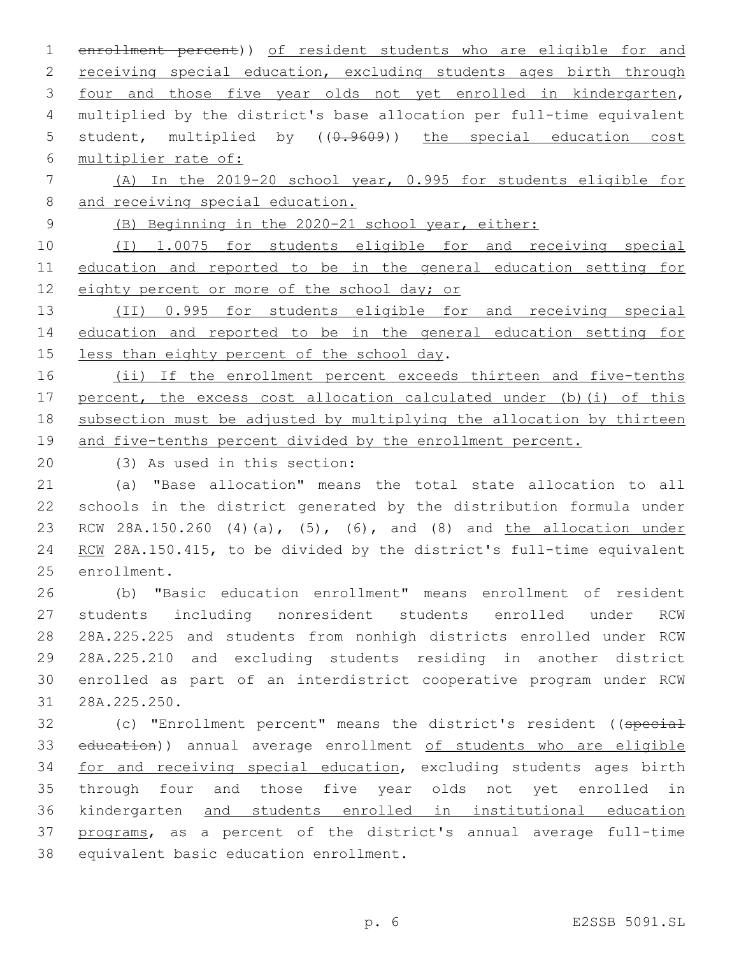enrollment percent)) of resident students who are eligible for and 2 receiving special education, excluding students ages birth through four and those five year olds not yet enrolled in kindergarten, multiplied by the district's base allocation per full-time equivalent 5 student, multiplied by  $((0.9609))$  the special education cost multiplier rate of:

 (A) In the 2019-20 school year, 0.995 for students eligible for 8 and receiving special education.

(B) Beginning in the 2020-21 school year, either:

 (I) 1.0075 for students eligible for and receiving special education and reported to be in the general education setting for 12 eighty percent or more of the school day; or

 (II) 0.995 for students eligible for and receiving special education and reported to be in the general education setting for 15 less than eighty percent of the school day.

16 (ii) If the enrollment percent exceeds thirteen and five-tenths percent, the excess cost allocation calculated under (b)(i) of this subsection must be adjusted by multiplying the allocation by thirteen and five-tenths percent divided by the enrollment percent.

(3) As used in this section:20

 (a) "Base allocation" means the total state allocation to all schools in the district generated by the distribution formula under RCW 28A.150.260 (4)(a), (5), (6), and (8) and the allocation under 24 RCW 28A.150.415, to be divided by the district's full-time equivalent 25 enrollment.

 (b) "Basic education enrollment" means enrollment of resident students including nonresident students enrolled under RCW 28A.225.225 and students from nonhigh districts enrolled under RCW 28A.225.210 and excluding students residing in another district enrolled as part of an interdistrict cooperative program under RCW 28A.225.250.31

32 (c) "Enrollment percent" means the district's resident ((special 33 education)) annual average enrollment of students who are eligible 34 for and receiving special education, excluding students ages birth through four and those five year olds not yet enrolled in kindergarten and students enrolled in institutional education programs, as a percent of the district's annual average full-time 38 equivalent basic education enrollment.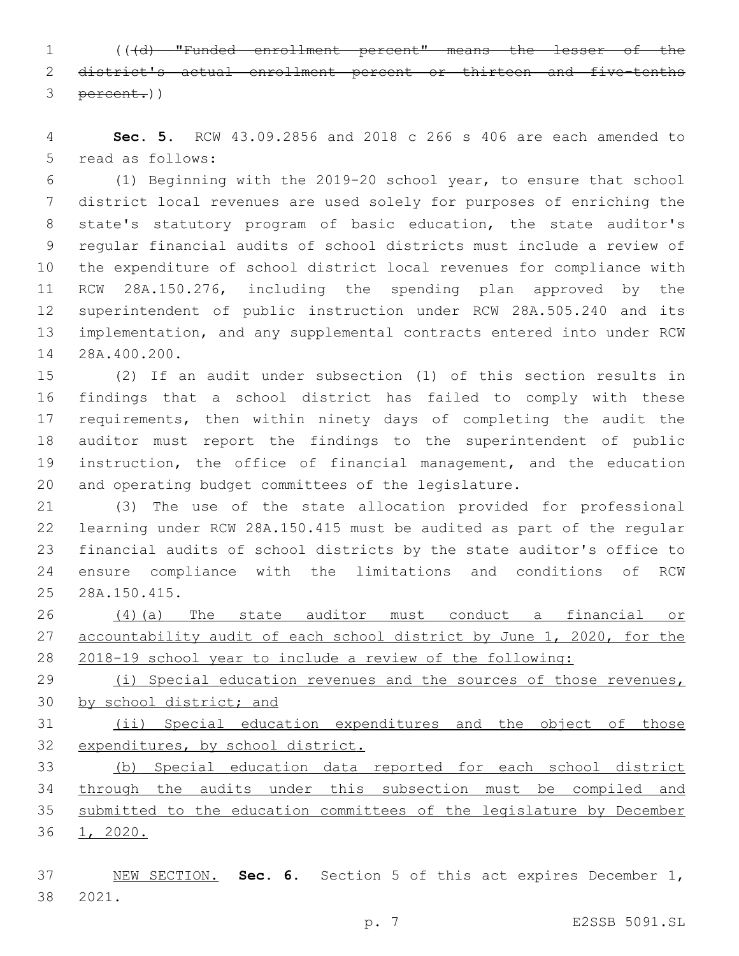(((d) "Funded enrollment percent" means the lesser of the district's actual enrollment percent or thirteen and five-tenths percent.))

 **Sec. 5.** RCW 43.09.2856 and 2018 c 266 s 406 are each amended to 5 read as follows:

 (1) Beginning with the 2019-20 school year, to ensure that school district local revenues are used solely for purposes of enriching the state's statutory program of basic education, the state auditor's regular financial audits of school districts must include a review of the expenditure of school district local revenues for compliance with RCW 28A.150.276, including the spending plan approved by the superintendent of public instruction under RCW 28A.505.240 and its implementation, and any supplemental contracts entered into under RCW 14 28A.400.200.

 (2) If an audit under subsection (1) of this section results in findings that a school district has failed to comply with these 17 requirements, then within ninety days of completing the audit the auditor must report the findings to the superintendent of public instruction, the office of financial management, and the education and operating budget committees of the legislature.

 (3) The use of the state allocation provided for professional learning under RCW 28A.150.415 must be audited as part of the regular financial audits of school districts by the state auditor's office to ensure compliance with the limitations and conditions of RCW 28A.150.415.25

 (4)(a) The state auditor must conduct a financial or 27 accountability audit of each school district by June 1, 2020, for the 2018-19 school year to include a review of the following:

29 (i) Special education revenues and the sources of those revenues, by school district; and

 (ii) Special education expenditures and the object of those expenditures, by school district.

 (b) Special education data reported for each school district through the audits under this subsection must be compiled and submitted to the education committees of the legislature by December 1, 2020.

 NEW SECTION. **Sec. 6.** Section 5 of this act expires December 1, 2021.